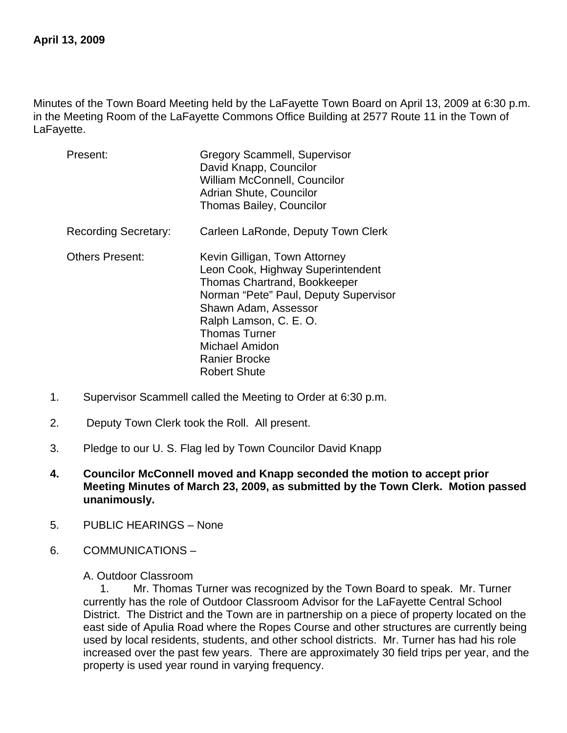Minutes of the Town Board Meeting held by the LaFayette Town Board on April 13, 2009 at 6:30 p.m. in the Meeting Room of the LaFayette Commons Office Building at 2577 Route 11 in the Town of LaFayette.

| Present:                    | <b>Gregory Scammell, Supervisor</b><br>David Knapp, Councilor<br>William McConnell, Councilor<br>Adrian Shute, Councilor<br><b>Thomas Bailey, Councilor</b>                                                                                                                                   |
|-----------------------------|-----------------------------------------------------------------------------------------------------------------------------------------------------------------------------------------------------------------------------------------------------------------------------------------------|
| <b>Recording Secretary:</b> | Carleen LaRonde, Deputy Town Clerk                                                                                                                                                                                                                                                            |
| <b>Others Present:</b>      | Kevin Gilligan, Town Attorney<br>Leon Cook, Highway Superintendent<br><b>Thomas Chartrand, Bookkeeper</b><br>Norman "Pete" Paul, Deputy Supervisor<br>Shawn Adam, Assessor<br>Ralph Lamson, C. E. O.<br><b>Thomas Turner</b><br>Michael Amidon<br><b>Ranier Brocke</b><br><b>Robert Shute</b> |

- 1. Supervisor Scammell called the Meeting to Order at 6:30 p.m.
- 2. Deputy Town Clerk took the Roll. All present.
- 3. Pledge to our U. S. Flag led by Town Councilor David Knapp
- **4. Councilor McConnell moved and Knapp seconded the motion to accept prior Meeting Minutes of March 23, 2009, as submitted by the Town Clerk. Motion passed unanimously.**
- 5. PUBLIC HEARINGS None
- 6. COMMUNICATIONS –

A. Outdoor Classroom

1. Mr. Thomas Turner was recognized by the Town Board to speak. Mr. Turner currently has the role of Outdoor Classroom Advisor for the LaFayette Central School District. The District and the Town are in partnership on a piece of property located on the east side of Apulia Road where the Ropes Course and other structures are currently being used by local residents, students, and other school districts. Mr. Turner has had his role increased over the past few years. There are approximately 30 field trips per year, and the property is used year round in varying frequency.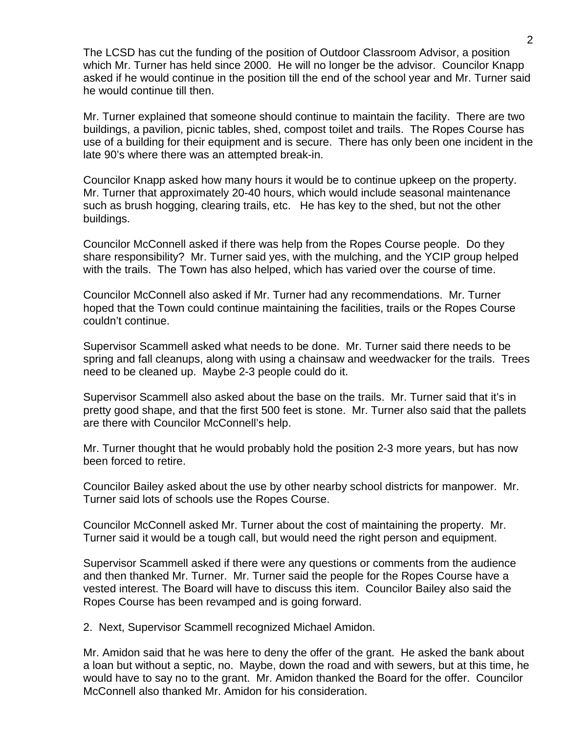The LCSD has cut the funding of the position of Outdoor Classroom Advisor, a position which Mr. Turner has held since 2000. He will no longer be the advisor. Councilor Knapp asked if he would continue in the position till the end of the school year and Mr. Turner said he would continue till then.

Mr. Turner explained that someone should continue to maintain the facility. There are two buildings, a pavilion, picnic tables, shed, compost toilet and trails. The Ropes Course has use of a building for their equipment and is secure. There has only been one incident in the late 90's where there was an attempted break-in.

Councilor Knapp asked how many hours it would be to continue upkeep on the property. Mr. Turner that approximately 20-40 hours, which would include seasonal maintenance such as brush hogging, clearing trails, etc. He has key to the shed, but not the other buildings.

Councilor McConnell asked if there was help from the Ropes Course people. Do they share responsibility? Mr. Turner said yes, with the mulching, and the YCIP group helped with the trails. The Town has also helped, which has varied over the course of time.

Councilor McConnell also asked if Mr. Turner had any recommendations. Mr. Turner hoped that the Town could continue maintaining the facilities, trails or the Ropes Course couldn't continue.

Supervisor Scammell asked what needs to be done. Mr. Turner said there needs to be spring and fall cleanups, along with using a chainsaw and weedwacker for the trails. Trees need to be cleaned up. Maybe 2-3 people could do it.

Supervisor Scammell also asked about the base on the trails. Mr. Turner said that it's in pretty good shape, and that the first 500 feet is stone. Mr. Turner also said that the pallets are there with Councilor McConnell's help.

Mr. Turner thought that he would probably hold the position 2-3 more years, but has now been forced to retire.

Councilor Bailey asked about the use by other nearby school districts for manpower. Mr. Turner said lots of schools use the Ropes Course.

Councilor McConnell asked Mr. Turner about the cost of maintaining the property. Mr. Turner said it would be a tough call, but would need the right person and equipment.

Supervisor Scammell asked if there were any questions or comments from the audience and then thanked Mr. Turner. Mr. Turner said the people for the Ropes Course have a vested interest. The Board will have to discuss this item. Councilor Bailey also said the Ropes Course has been revamped and is going forward.

2. Next, Supervisor Scammell recognized Michael Amidon.

Mr. Amidon said that he was here to deny the offer of the grant. He asked the bank about a loan but without a septic, no. Maybe, down the road and with sewers, but at this time, he would have to say no to the grant. Mr. Amidon thanked the Board for the offer. Councilor McConnell also thanked Mr. Amidon for his consideration.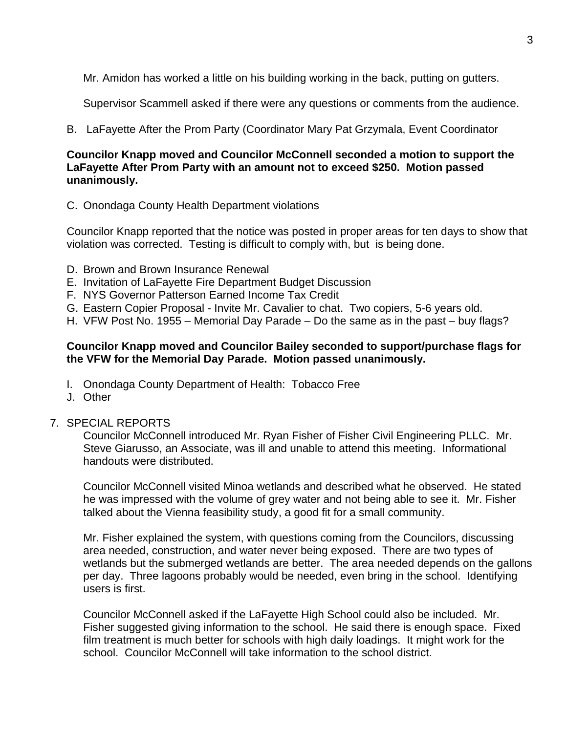Mr. Amidon has worked a little on his building working in the back, putting on gutters.

Supervisor Scammell asked if there were any questions or comments from the audience.

B. LaFayette After the Prom Party (Coordinator Mary Pat Grzymala, Event Coordinator

# **Councilor Knapp moved and Councilor McConnell seconded a motion to support the LaFayette After Prom Party with an amount not to exceed \$250. Motion passed unanimously.**

C. Onondaga County Health Department violations

Councilor Knapp reported that the notice was posted in proper areas for ten days to show that violation was corrected. Testing is difficult to comply with, but is being done.

- D. Brown and Brown Insurance Renewal
- E. Invitation of LaFayette Fire Department Budget Discussion
- F. NYS Governor Patterson Earned Income Tax Credit
- G. Eastern Copier Proposal Invite Mr. Cavalier to chat. Two copiers, 5-6 years old.
- H. VFW Post No. 1955 Memorial Day Parade Do the same as in the past buy flags?

# **Councilor Knapp moved and Councilor Bailey seconded to support/purchase flags for the VFW for the Memorial Day Parade. Motion passed unanimously.**

- I. Onondaga County Department of Health: Tobacco Free
- J. Other

#### 7. SPECIAL REPORTS

Councilor McConnell introduced Mr. Ryan Fisher of Fisher Civil Engineering PLLC. Mr. Steve Giarusso, an Associate, was ill and unable to attend this meeting. Informational handouts were distributed.

Councilor McConnell visited Minoa wetlands and described what he observed. He stated he was impressed with the volume of grey water and not being able to see it. Mr. Fisher talked about the Vienna feasibility study, a good fit for a small community.

Mr. Fisher explained the system, with questions coming from the Councilors, discussing area needed, construction, and water never being exposed. There are two types of wetlands but the submerged wetlands are better. The area needed depends on the gallons per day. Three lagoons probably would be needed, even bring in the school. Identifying users is first.

Councilor McConnell asked if the LaFayette High School could also be included. Mr. Fisher suggested giving information to the school. He said there is enough space. Fixed film treatment is much better for schools with high daily loadings. It might work for the school. Councilor McConnell will take information to the school district.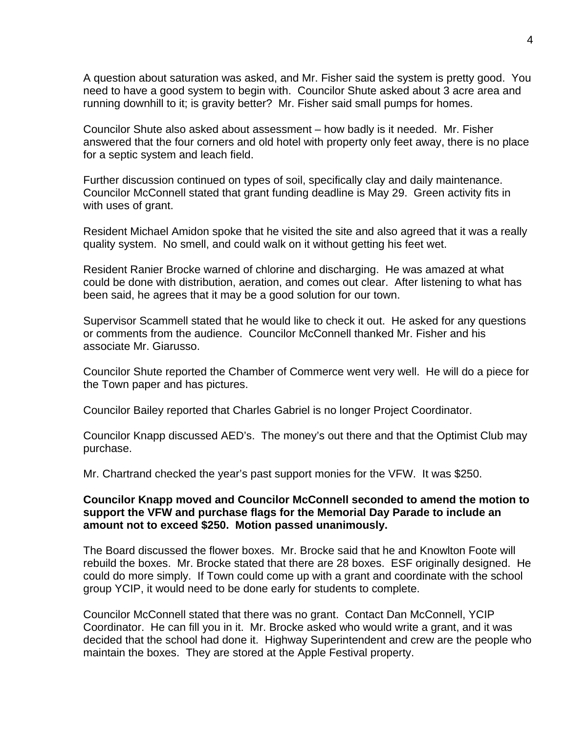A question about saturation was asked, and Mr. Fisher said the system is pretty good. You need to have a good system to begin with. Councilor Shute asked about 3 acre area and running downhill to it; is gravity better? Mr. Fisher said small pumps for homes.

Councilor Shute also asked about assessment – how badly is it needed. Mr. Fisher answered that the four corners and old hotel with property only feet away, there is no place for a septic system and leach field.

Further discussion continued on types of soil, specifically clay and daily maintenance. Councilor McConnell stated that grant funding deadline is May 29. Green activity fits in with uses of grant.

Resident Michael Amidon spoke that he visited the site and also agreed that it was a really quality system. No smell, and could walk on it without getting his feet wet.

Resident Ranier Brocke warned of chlorine and discharging. He was amazed at what could be done with distribution, aeration, and comes out clear. After listening to what has been said, he agrees that it may be a good solution for our town.

Supervisor Scammell stated that he would like to check it out. He asked for any questions or comments from the audience. Councilor McConnell thanked Mr. Fisher and his associate Mr. Giarusso.

Councilor Shute reported the Chamber of Commerce went very well. He will do a piece for the Town paper and has pictures.

Councilor Bailey reported that Charles Gabriel is no longer Project Coordinator.

Councilor Knapp discussed AED's. The money's out there and that the Optimist Club may purchase.

Mr. Chartrand checked the year's past support monies for the VFW. It was \$250.

### **Councilor Knapp moved and Councilor McConnell seconded to amend the motion to support the VFW and purchase flags for the Memorial Day Parade to include an amount not to exceed \$250. Motion passed unanimously.**

The Board discussed the flower boxes. Mr. Brocke said that he and Knowlton Foote will rebuild the boxes. Mr. Brocke stated that there are 28 boxes. ESF originally designed. He could do more simply. If Town could come up with a grant and coordinate with the school group YCIP, it would need to be done early for students to complete.

Councilor McConnell stated that there was no grant. Contact Dan McConnell, YCIP Coordinator. He can fill you in it. Mr. Brocke asked who would write a grant, and it was decided that the school had done it. Highway Superintendent and crew are the people who maintain the boxes. They are stored at the Apple Festival property.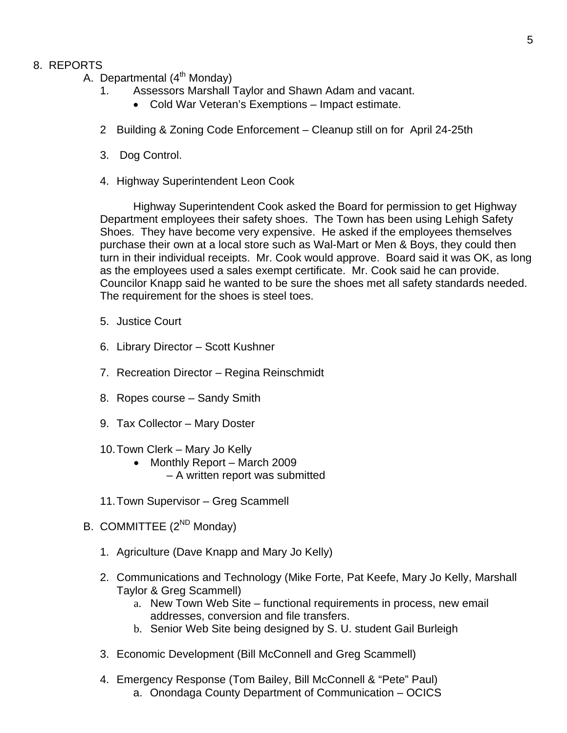### 8. REPORTS

- A. Departmental  $(4^{th}$  Monday)
	- 1. Assessors Marshall Taylor and Shawn Adam and vacant.
		- Cold War Veteran's Exemptions Impact estimate.
	- 2 Building & Zoning Code Enforcement Cleanup still on for April 24-25th
	- 3. Dog Control.
	- 4. Highway Superintendent Leon Cook

 Highway Superintendent Cook asked the Board for permission to get Highway Department employees their safety shoes. The Town has been using Lehigh Safety Shoes. They have become very expensive. He asked if the employees themselves purchase their own at a local store such as Wal-Mart or Men & Boys, they could then turn in their individual receipts. Mr. Cook would approve. Board said it was OK, as long as the employees used a sales exempt certificate. Mr. Cook said he can provide. Councilor Knapp said he wanted to be sure the shoes met all safety standards needed. The requirement for the shoes is steel toes.

- 5. Justice Court
- 6. Library Director Scott Kushner
- 7. Recreation Director Regina Reinschmidt
- 8. Ropes course Sandy Smith
- 9. Tax Collector Mary Doster
- 10. Town Clerk Mary Jo Kelly
	- Monthly Report March 2009 – A written report was submitted
- 11. Town Supervisor Greg Scammell
- B. COMMITTEE  $(2^{ND}$  Monday)
	- 1. Agriculture (Dave Knapp and Mary Jo Kelly)
	- 2. Communications and Technology (Mike Forte, Pat Keefe, Mary Jo Kelly, Marshall Taylor & Greg Scammell)
		- a. New Town Web Site functional requirements in process, new email addresses, conversion and file transfers.
		- b. Senior Web Site being designed by S. U. student Gail Burleigh
	- 3. Economic Development (Bill McConnell and Greg Scammell)
	- 4. Emergency Response (Tom Bailey, Bill McConnell & "Pete" Paul) a. Onondaga County Department of Communication – OCICS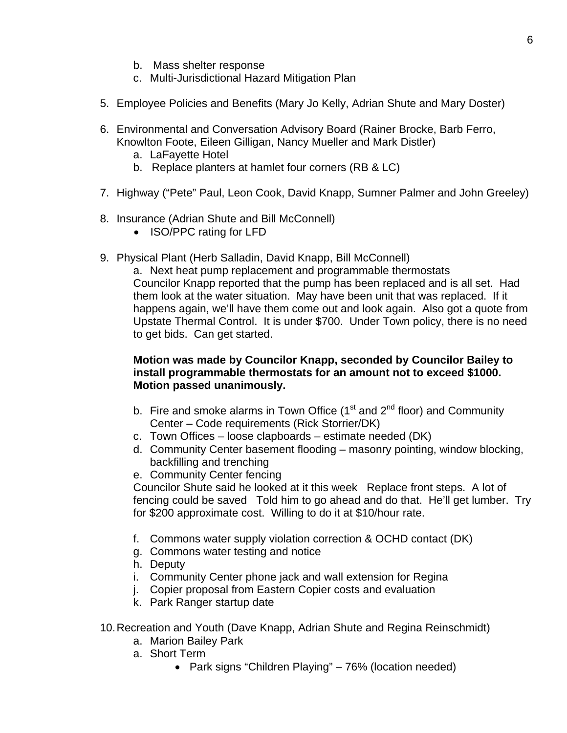- b. Mass shelter response
- c. Multi-Jurisdictional Hazard Mitigation Plan
- 5. Employee Policies and Benefits (Mary Jo Kelly, Adrian Shute and Mary Doster)
- 6. Environmental and Conversation Advisory Board (Rainer Brocke, Barb Ferro, Knowlton Foote, Eileen Gilligan, Nancy Mueller and Mark Distler)
	- a. LaFayette Hotel
	- b. Replace planters at hamlet four corners (RB & LC)
- 7. Highway ("Pete" Paul, Leon Cook, David Knapp, Sumner Palmer and John Greeley)
- 8. Insurance (Adrian Shute and Bill McConnell)
	- ISO/PPC rating for LFD
- 9. Physical Plant (Herb Salladin, David Knapp, Bill McConnell)

a. Next heat pump replacement and programmable thermostats Councilor Knapp reported that the pump has been replaced and is all set. Had them look at the water situation. May have been unit that was replaced. If it happens again, we'll have them come out and look again. Also got a quote from Upstate Thermal Control. It is under \$700. Under Town policy, there is no need to get bids. Can get started.

# **Motion was made by Councilor Knapp, seconded by Councilor Bailey to install programmable thermostats for an amount not to exceed \$1000. Motion passed unanimously.**

- b. Fire and smoke alarms in Town Office ( $1<sup>st</sup>$  and  $2<sup>nd</sup>$  floor) and Community Center – Code requirements (Rick Storrier/DK)
- c. Town Offices loose clapboards estimate needed (DK)
- d. Community Center basement flooding masonry pointing, window blocking, backfilling and trenching
- e. Community Center fencing

Councilor Shute said he looked at it this week Replace front steps. A lot of fencing could be saved Told him to go ahead and do that. He'll get lumber. Try for \$200 approximate cost. Willing to do it at \$10/hour rate.

- f. Commons water supply violation correction & OCHD contact (DK)
- g. Commons water testing and notice
- h. Deputy
- i. Community Center phone jack and wall extension for Regina
- j. Copier proposal from Eastern Copier costs and evaluation
- k. Park Ranger startup date
- 10. Recreation and Youth (Dave Knapp, Adrian Shute and Regina Reinschmidt)
	- a. Marion Bailey Park
	- a. Short Term
		- Park signs "Children Playing" 76% (location needed)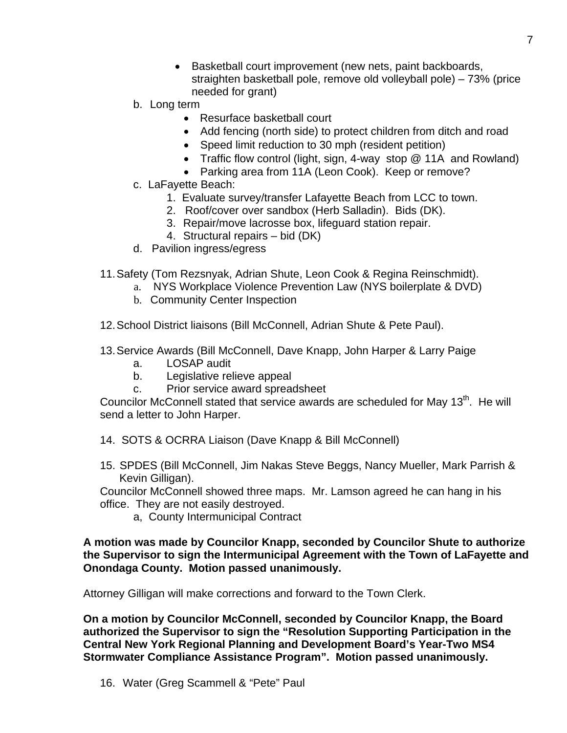- Basketball court improvement (new nets, paint backboards, straighten basketball pole, remove old volleyball pole) – 73% (price needed for grant)
- b. Long term
	- Resurface basketball court
	- Add fencing (north side) to protect children from ditch and road
	- Speed limit reduction to 30 mph (resident petition)
	- Traffic flow control (light, sign, 4-way stop @ 11A and Rowland)
	- Parking area from 11A (Leon Cook). Keep or remove?
- c. LaFayette Beach:
	- 1. Evaluate survey/transfer Lafayette Beach from LCC to town.
	- 2. Roof/cover over sandbox (Herb Salladin). Bids (DK).
	- 3. Repair/move lacrosse box, lifeguard station repair.
	- 4. Structural repairs bid (DK)
- d. Pavilion ingress/egress
- 11. Safety (Tom Rezsnyak, Adrian Shute, Leon Cook & Regina Reinschmidt).
	- a. NYS Workplace Violence Prevention Law (NYS boilerplate & DVD)
		- b. Community Center Inspection
- 12. School District liaisons (Bill McConnell, Adrian Shute & Pete Paul).
- 13. Service Awards (Bill McConnell, Dave Knapp, John Harper & Larry Paige
	- a. LOSAP audit
	- b. Legislative relieve appeal
	- c. Prior service award spreadsheet

Councilor McConnell stated that service awards are scheduled for May  $13<sup>th</sup>$ . He will send a letter to John Harper.

- 14. SOTS & OCRRA Liaison (Dave Knapp & Bill McConnell)
- 15. SPDES (Bill McConnell, Jim Nakas Steve Beggs, Nancy Mueller, Mark Parrish & Kevin Gilligan).

Councilor McConnell showed three maps. Mr. Lamson agreed he can hang in his office. They are not easily destroyed.

a, County Intermunicipal Contract

# **A motion was made by Councilor Knapp, seconded by Councilor Shute to authorize the Supervisor to sign the Intermunicipal Agreement with the Town of LaFayette and Onondaga County. Motion passed unanimously.**

Attorney Gilligan will make corrections and forward to the Town Clerk.

**On a motion by Councilor McConnell, seconded by Councilor Knapp, the Board authorized the Supervisor to sign the "Resolution Supporting Participation in the Central New York Regional Planning and Development Board's Year-Two MS4 Stormwater Compliance Assistance Program". Motion passed unanimously.**

16. Water (Greg Scammell & "Pete" Paul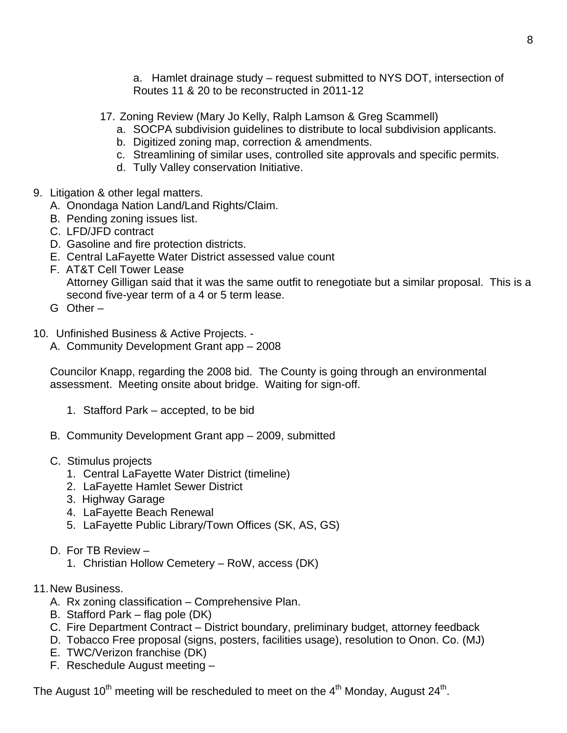a. Hamlet drainage study – request submitted to NYS DOT, intersection of Routes 11 & 20 to be reconstructed in 2011-12

17. Zoning Review (Mary Jo Kelly, Ralph Lamson & Greg Scammell)

- a. SOCPA subdivision guidelines to distribute to local subdivision applicants.
- b. Digitized zoning map, correction & amendments.
- c. Streamlining of similar uses, controlled site approvals and specific permits.
- d. Tully Valley conservation Initiative.
- 9. Litigation & other legal matters.
	- A. Onondaga Nation Land/Land Rights/Claim.
	- B. Pending zoning issues list.
	- C. LFD/JFD contract
	- D. Gasoline and fire protection districts.
	- E. Central LaFayette Water District assessed value count
	- F. AT&T Cell Tower Lease Attorney Gilligan said that it was the same outfit to renegotiate but a similar proposal. This is a second five-year term of a 4 or 5 term lease.
	- G Other –
- 10. Unfinished Business & Active Projects.
	- A. Community Development Grant app 2008

 Councilor Knapp, regarding the 2008 bid. The County is going through an environmental assessment. Meeting onsite about bridge. Waiting for sign-off.

- 1. Stafford Park accepted, to be bid
- B. Community Development Grant app 2009, submitted
- C. Stimulus projects
	- 1. Central LaFayette Water District (timeline)
	- 2. LaFayette Hamlet Sewer District
	- 3. Highway Garage
	- 4. LaFayette Beach Renewal
	- 5. LaFayette Public Library/Town Offices (SK, AS, GS)
- D. For TB Review
	- 1. Christian Hollow Cemetery RoW, access (DK)
- 11. New Business.
	- A. Rx zoning classification Comprehensive Plan.
	- B. Stafford Park flag pole (DK)
	- C. Fire Department Contract District boundary, preliminary budget, attorney feedback
	- D. Tobacco Free proposal (signs, posters, facilities usage), resolution to Onon. Co. (MJ)
	- E. TWC/Verizon franchise (DK)
	- F. Reschedule August meeting –

The August  $10^{th}$  meeting will be rescheduled to meet on the  $4^{th}$  Monday, August  $24^{th}$ .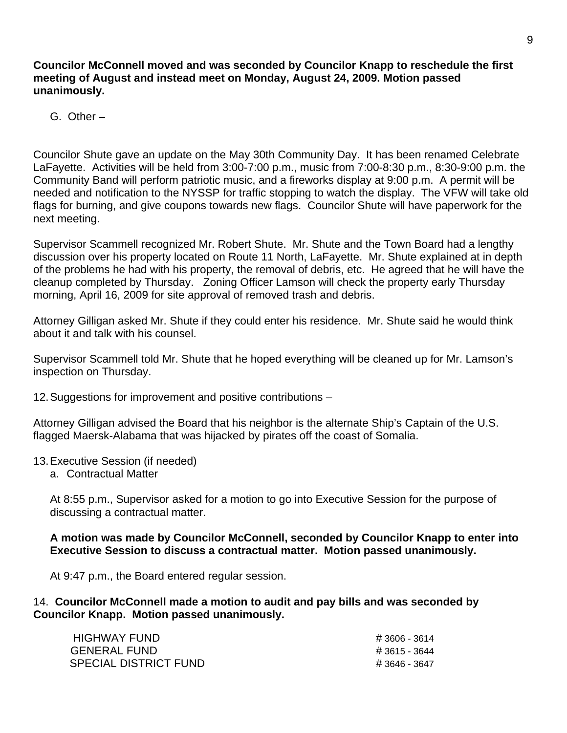**Councilor McConnell moved and was seconded by Councilor Knapp to reschedule the first meeting of August and instead meet on Monday, August 24, 2009. Motion passed unanimously.** 

G. Other –

Councilor Shute gave an update on the May 30th Community Day. It has been renamed Celebrate LaFayette. Activities will be held from 3:00-7:00 p.m., music from 7:00-8:30 p.m., 8:30-9:00 p.m. the Community Band will perform patriotic music, and a fireworks display at 9:00 p.m. A permit will be needed and notification to the NYSSP for traffic stopping to watch the display. The VFW will take old flags for burning, and give coupons towards new flags. Councilor Shute will have paperwork for the next meeting.

Supervisor Scammell recognized Mr. Robert Shute. Mr. Shute and the Town Board had a lengthy discussion over his property located on Route 11 North, LaFayette. Mr. Shute explained at in depth of the problems he had with his property, the removal of debris, etc. He agreed that he will have the cleanup completed by Thursday. Zoning Officer Lamson will check the property early Thursday morning, April 16, 2009 for site approval of removed trash and debris.

Attorney Gilligan asked Mr. Shute if they could enter his residence. Mr. Shute said he would think about it and talk with his counsel.

Supervisor Scammell told Mr. Shute that he hoped everything will be cleaned up for Mr. Lamson's inspection on Thursday.

12. Suggestions for improvement and positive contributions –

Attorney Gilligan advised the Board that his neighbor is the alternate Ship's Captain of the U.S. flagged Maersk-Alabama that was hijacked by pirates off the coast of Somalia.

#### 13. Executive Session (if needed)

a. Contractual Matter

At 8:55 p.m., Supervisor asked for a motion to go into Executive Session for the purpose of discussing a contractual matter.

**A motion was made by Councilor McConnell, seconded by Councilor Knapp to enter into Executive Session to discuss a contractual matter. Motion passed unanimously.** 

At 9:47 p.m., the Board entered regular session.

14. **Councilor McConnell made a motion to audit and pay bills and was seconded by Councilor Knapp. Motion passed unanimously.** 

| <b>HIGHWAY FUND</b>          | # 3606 - 3614 |
|------------------------------|---------------|
| <b>GENERAL FUND</b>          | # 3615 - 3644 |
| <b>SPECIAL DISTRICT FUND</b> | # 3646 - 3647 |